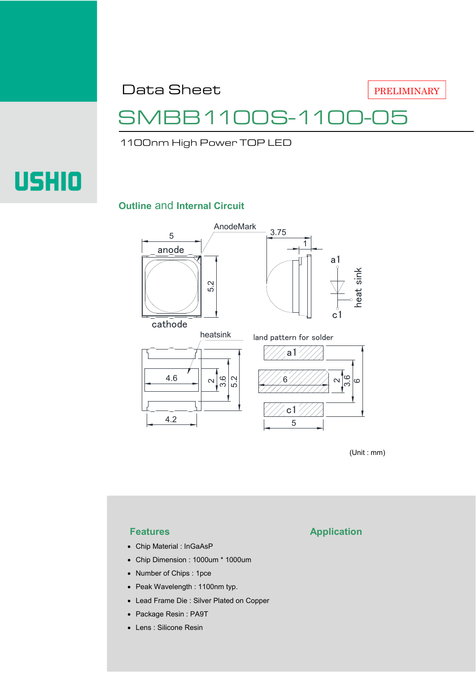Data Sheet

PRELIMINARY

## 31100S-110

1100nm High Power TOP LED

# **USHIO**

#### **Outline** and **Internal Circuit**



(Unit : mm)

- Chip Material : InGaAsP
- Chip Dimension : 1000um \* 1000um
- Number of Chips : 1pce
- Peak Wavelength : 1100nm typ.
- Lead Frame Die : Silver Plated on Copper
- Package Resin : PA9T
- Lens : Silicone Resin

#### **Features Application**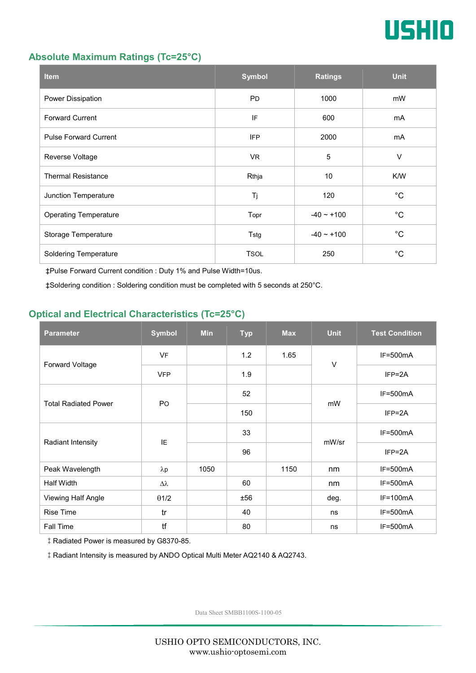

#### **Absolute Maximum Ratings (Tc=25°C)**

| <b>Item</b>                  | <b>Symbol</b> | <b>Ratings</b>  | <b>Unit</b> |
|------------------------------|---------------|-----------------|-------------|
| Power Dissipation            | <b>PD</b>     | 1000            | mW          |
| <b>Forward Current</b>       | IF            | 600             | mA          |
| <b>Pulse Forward Current</b> | <b>IFP</b>    | 2000            | mA          |
| Reverse Voltage              | VR.           | $\sqrt{5}$      | $\vee$      |
| <b>Thermal Resistance</b>    | Rthja         | 10              | K/W         |
| Junction Temperature         | Tj            | 120             | $^{\circ}C$ |
| <b>Operating Temperature</b> | Topr          | $-40 \sim +100$ | $^{\circ}C$ |
| Storage Temperature          | Tstg          | $-40 - +100$    | $^{\circ}C$ |
| <b>Soldering Temperature</b> | <b>TSOL</b>   | 250             | $^{\circ}C$ |

‡Pulse Forward Current condition : Duty 1% and Pulse Width=10us.

‡Soldering condition : Soldering condition must be completed with 5 seconds at 250°C.

#### **Optical and Electrical Characteristics (Tc=25°C)**

| <b>Parameter</b>            | <b>Symbol</b>    | <b>Min</b> | <b>Typ</b> | <b>Max</b> | <b>Unit</b> | <b>Test Condition</b> |
|-----------------------------|------------------|------------|------------|------------|-------------|-----------------------|
| Forward Voltage             | <b>VF</b>        |            | 1.2        | 1.65       | $\vee$      | $IF=500mA$            |
|                             | <b>VFP</b>       |            | 1.9        |            |             | $IFP = 2A$            |
| <b>Total Radiated Power</b> | P <sub>O</sub>   |            | 52         |            | mW          | $IF=500mA$            |
|                             |                  |            | 150        |            |             | $IFP = 2A$            |
| Radiant Intensity           | IE               |            | 33         |            | mW/sr       | $IF=500mA$            |
|                             |                  |            | 96         |            |             | $IFP = 2A$            |
| Peak Wavelength             | $\lambda$ p      | 1050       |            | 1150       | nm          | $IF=500mA$            |
| <b>Half Width</b>           | $\Delta \lambda$ |            | 60         |            | nm          | $IF=500mA$            |
| Viewing Half Angle          | $\theta$ 1/2     |            | ±56        |            | deg.        | $IF=100mA$            |
| <b>Rise Time</b>            | tr               |            | 40         |            | ns          | $IF=500mA$            |
| Fall Time                   | tf               |            | 80         |            | ns          | $IF=500mA$            |

‡Radiated Power is measured by G8370-85.

‡Radiant Intensity is measured by ANDO Optical Multi Meter AQ2140 & AQ2743.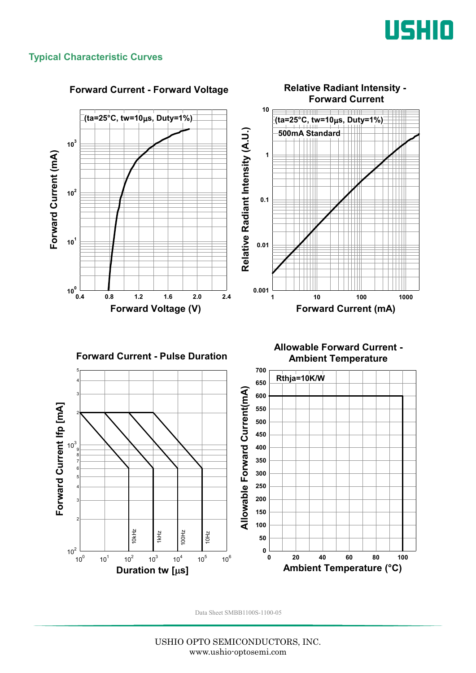

#### **Typical Characteristic Curves**



#### **Forward Current - Forward Voltage**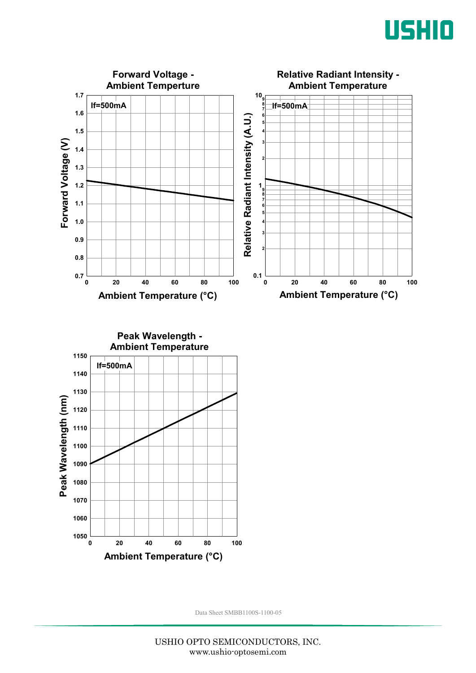



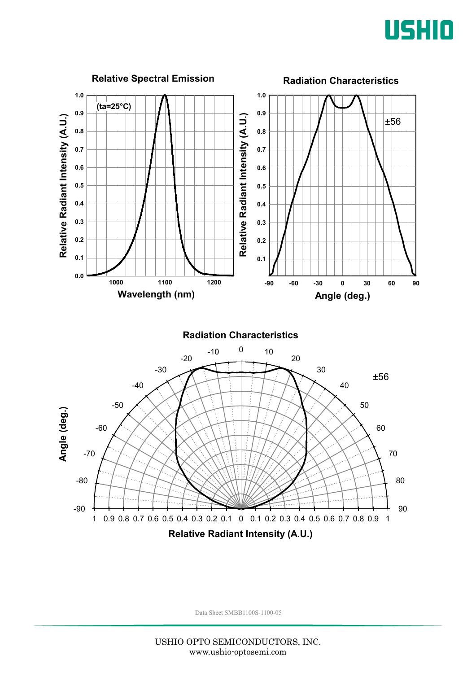

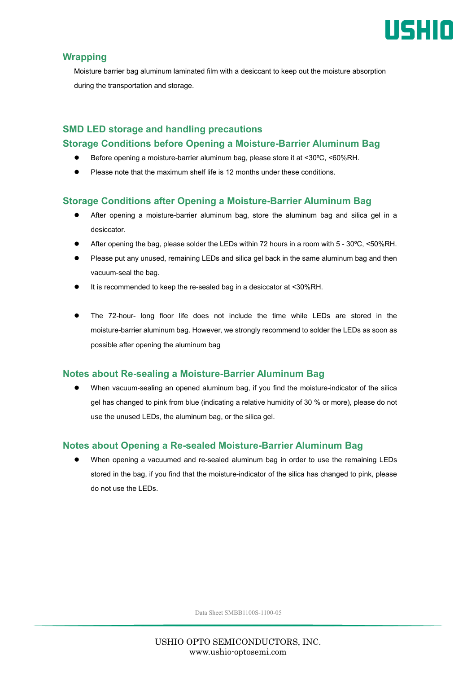

#### **Wrapping**

Moisture barrier bag aluminum laminated film with a desiccant to keep out the moisture absorption during the transportation and storage.

### **SMD LED storage and handling precautions Storage Conditions before Opening a Moisture-Barrier Aluminum Bag**

- Before opening a moisture-barrier aluminum bag, please store it at <30ºC, <60%RH.
- Please note that the maximum shelf life is 12 months under these conditions.

#### **Storage Conditions after Opening a Moisture-Barrier Aluminum Bag**

- After opening a moisture-barrier aluminum bag, store the aluminum bag and silica gel in a desiccator.
- After opening the bag, please solder the LEDs within 72 hours in a room with 5 30ºC, <50%RH.
- Please put any unused, remaining LEDs and silica gel back in the same aluminum bag and then vacuum-seal the bag.
- It is recommended to keep the re-sealed bag in a desiccator at <30%RH.
- The 72-hour- long floor life does not include the time while LEDs are stored in the moisture-barrier aluminum bag. However, we strongly recommend to solder the LEDs as soon as possible after opening the aluminum bag

#### **Notes about Re-sealing a Moisture-Barrier Aluminum Bag**

 When vacuum-sealing an opened aluminum bag, if you find the moisture-indicator of the silica gel has changed to pink from blue (indicating a relative humidity of 30 % or more), please do not use the unused LEDs, the aluminum bag, or the silica gel.

#### **Notes about Opening a Re-sealed Moisture-Barrier Aluminum Bag**

 When opening a vacuumed and re-sealed aluminum bag in order to use the remaining LEDs stored in the bag, if you find that the moisture-indicator of the silica has changed to pink, please do not use the LEDs.